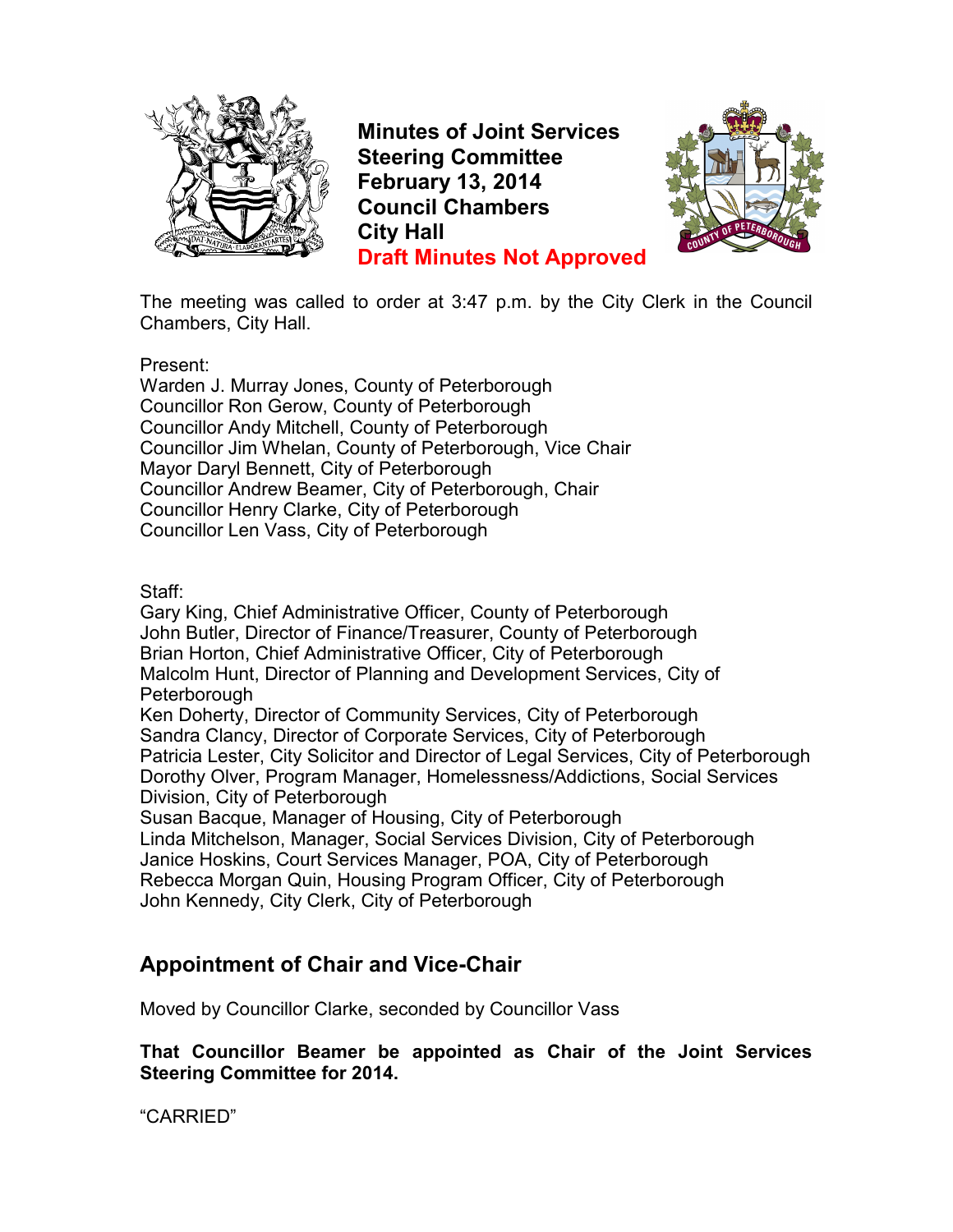

**Minutes of Joint Services Steering Committee February 13, 2014 Council Chambers City Hall Draft Minutes Not Approved**



The meeting was called to order at 3:47 p.m. by the City Clerk in the Council Chambers, City Hall.

Present:

Warden J. Murray Jones, County of Peterborough Councillor Ron Gerow, County of Peterborough Councillor Andy Mitchell, County of Peterborough Councillor Jim Whelan, County of Peterborough, Vice Chair Mayor Daryl Bennett, City of Peterborough Councillor Andrew Beamer, City of Peterborough, Chair Councillor Henry Clarke, City of Peterborough Councillor Len Vass, City of Peterborough

Staff:

Gary King, Chief Administrative Officer, County of Peterborough John Butler, Director of Finance/Treasurer, County of Peterborough Brian Horton, Chief Administrative Officer, City of Peterborough Malcolm Hunt, Director of Planning and Development Services, City of **Peterborough** Ken Doherty, Director of Community Services, City of Peterborough

Sandra Clancy, Director of Corporate Services, City of Peterborough Patricia Lester, City Solicitor and Director of Legal Services, City of Peterborough Dorothy Olver, Program Manager, Homelessness/Addictions, Social Services Division, City of Peterborough

Susan Bacque, Manager of Housing, City of Peterborough Linda Mitchelson, Manager, Social Services Division, City of Peterborough Janice Hoskins, Court Services Manager, POA, City of Peterborough Rebecca Morgan Quin, Housing Program Officer, City of Peterborough John Kennedy, City Clerk, City of Peterborough

## **Appointment of Chair and Vice-Chair**

Moved by Councillor Clarke, seconded by Councillor Vass

**That Councillor Beamer be appointed as Chair of the Joint Services Steering Committee for 2014.**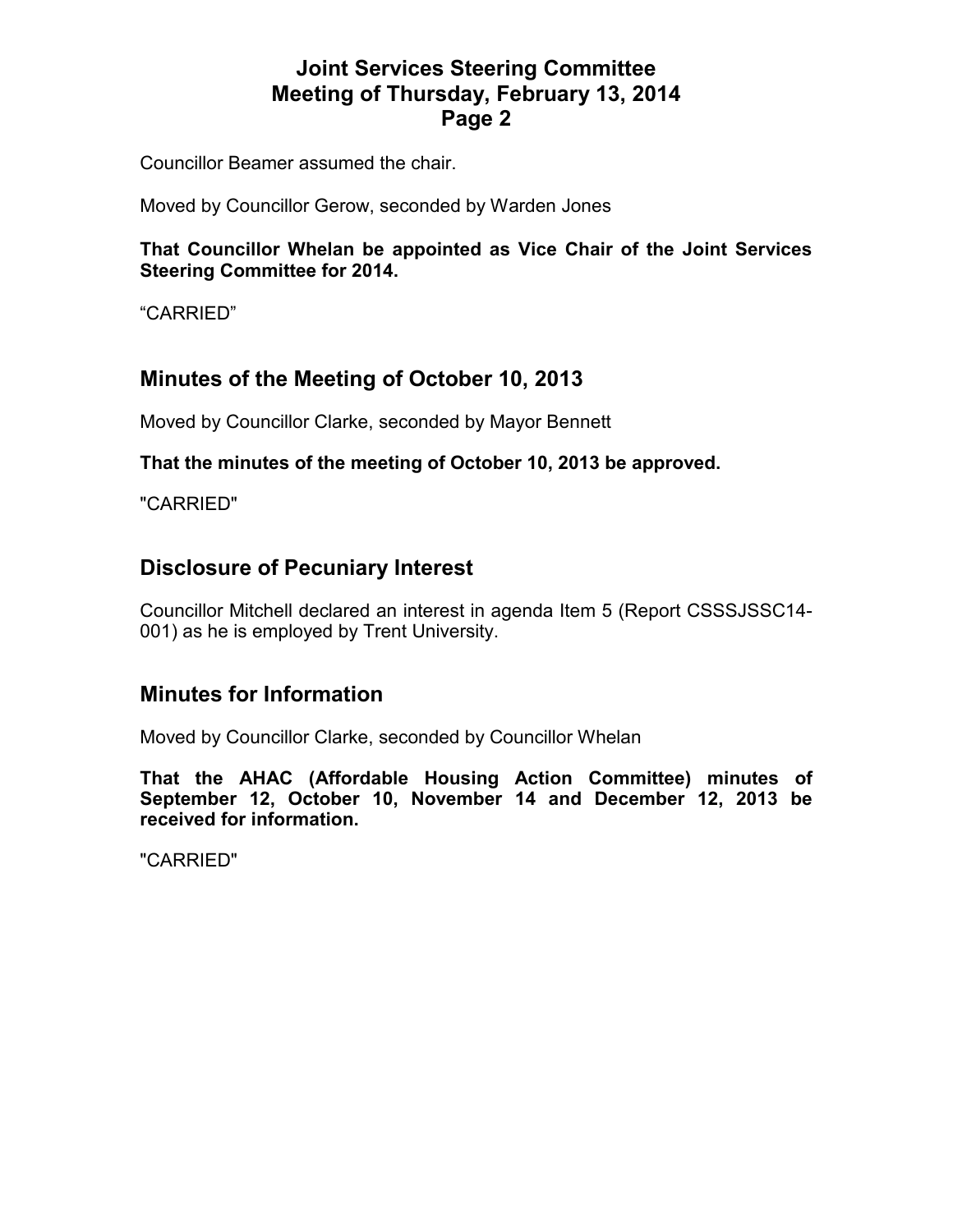Councillor Beamer assumed the chair.

Moved by Councillor Gerow, seconded by Warden Jones

**That Councillor Whelan be appointed as Vice Chair of the Joint Services Steering Committee for 2014.** 

"CARRIED"

## **Minutes of the Meeting of October 10, 2013**

Moved by Councillor Clarke, seconded by Mayor Bennett

#### **That the minutes of the meeting of October 10, 2013 be approved.**

"CARRIED"

#### **Disclosure of Pecuniary Interest**

Councillor Mitchell declared an interest in agenda Item 5 (Report CSSSJSSC14- 001) as he is employed by Trent University.

#### **Minutes for Information**

Moved by Councillor Clarke, seconded by Councillor Whelan

**That the AHAC (Affordable Housing Action Committee) minutes of September 12, October 10, November 14 and December 12, 2013 be received for information.**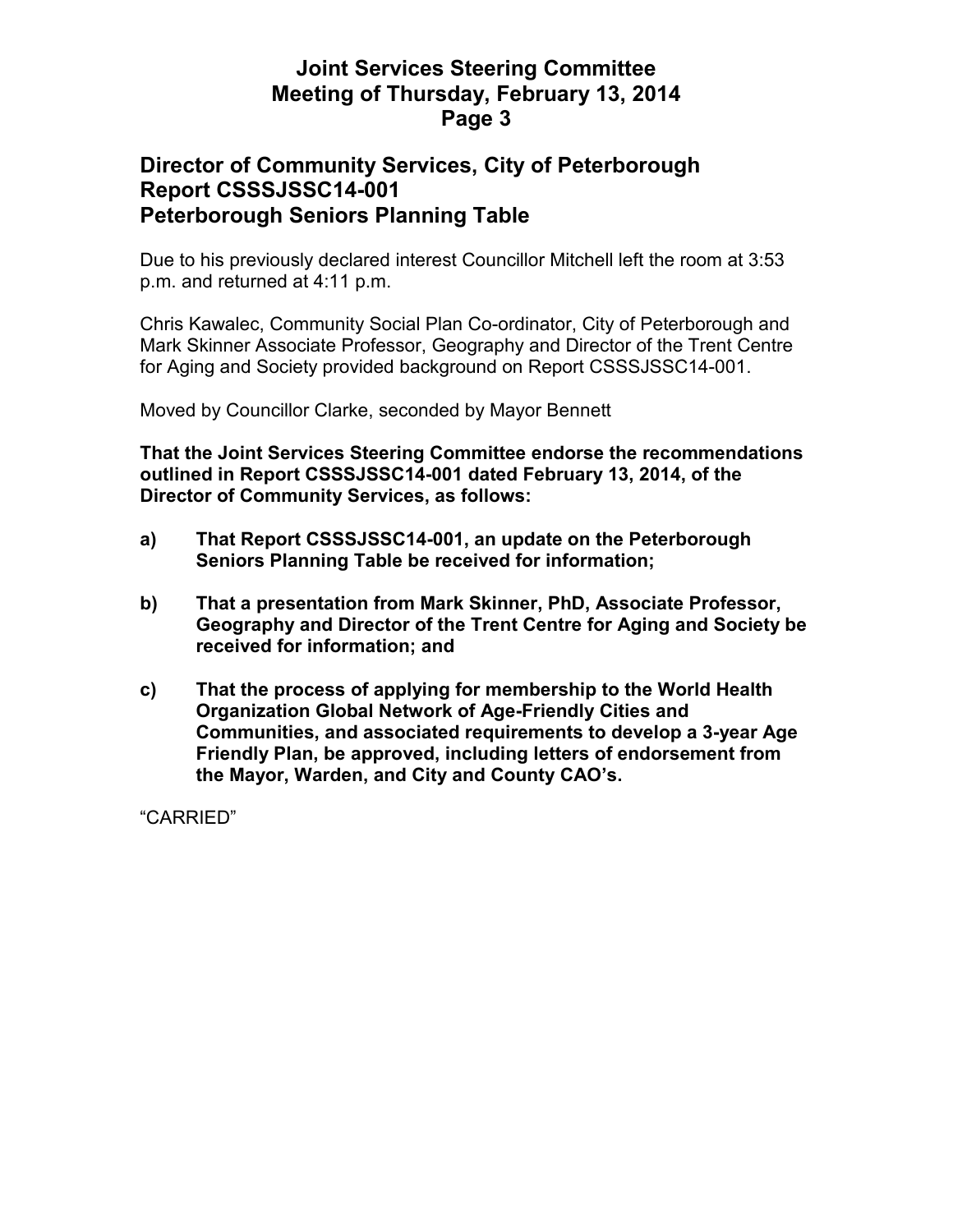## **Director of Community Services, City of Peterborough Report CSSSJSSC14-001 Peterborough Seniors Planning Table**

Due to his previously declared interest Councillor Mitchell left the room at 3:53 p.m. and returned at 4:11 p.m.

Chris Kawalec, Community Social Plan Co-ordinator, City of Peterborough and Mark Skinner Associate Professor, Geography and Director of the Trent Centre for Aging and Society provided background on Report CSSSJSSC14-001.

Moved by Councillor Clarke, seconded by Mayor Bennett

**That the Joint Services Steering Committee endorse the recommendations outlined in Report CSSSJSSC14-001 dated February 13, 2014, of the Director of Community Services, as follows:** 

- **a) That Report CSSSJSSC14-001, an update on the Peterborough Seniors Planning Table be received for information;**
- **b) That a presentation from Mark Skinner, PhD, Associate Professor, Geography and Director of the Trent Centre for Aging and Society be received for information; and**
- **c) That the process of applying for membership to the World Health Organization Global Network of Age-Friendly Cities and Communities, and associated requirements to develop a 3-year Age Friendly Plan, be approved, including letters of endorsement from the Mayor, Warden, and City and County CAO's.**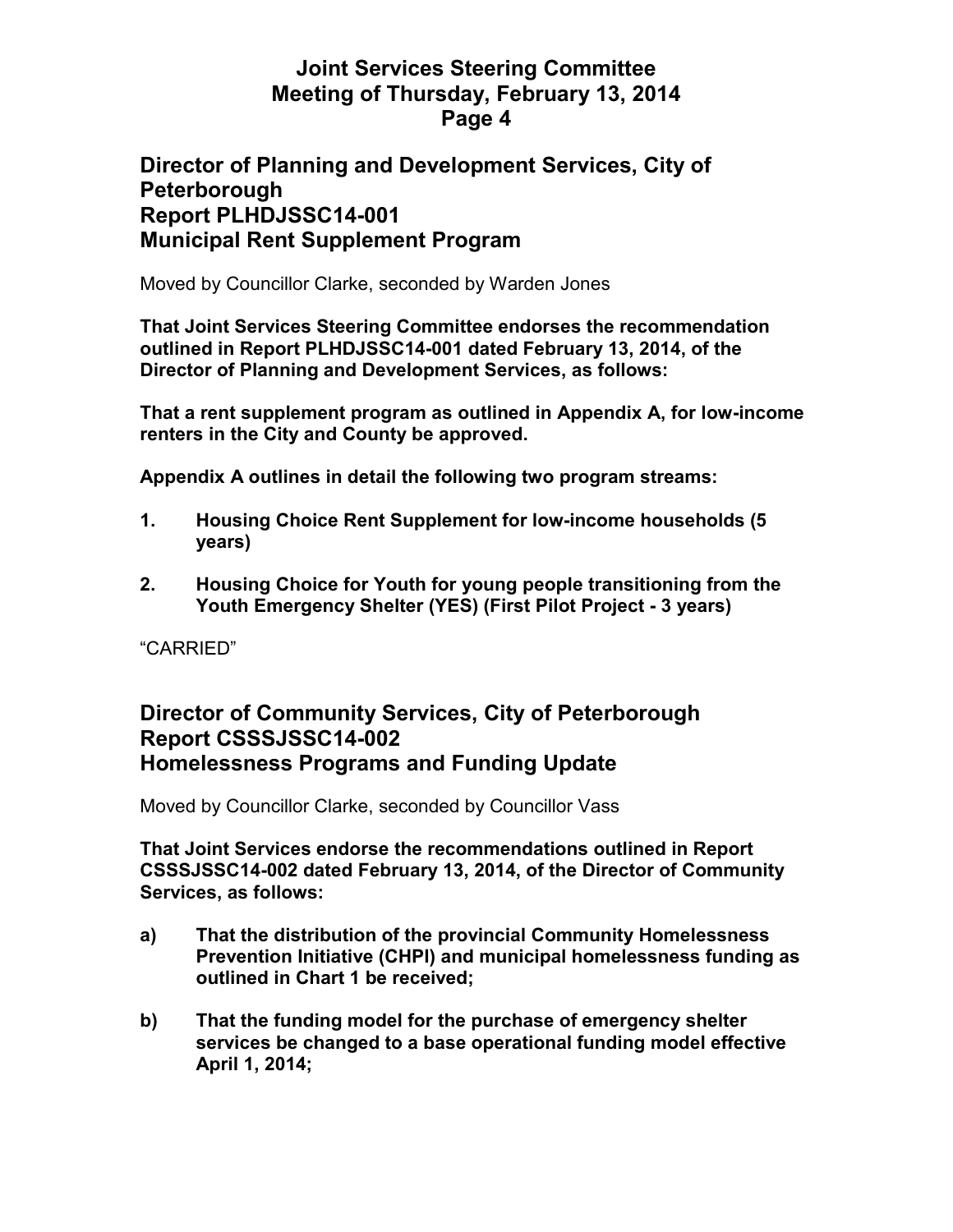### **Director of Planning and Development Services, City of Peterborough Report PLHDJSSC14-001 Municipal Rent Supplement Program**

Moved by Councillor Clarke, seconded by Warden Jones

**That Joint Services Steering Committee endorses the recommendation outlined in Report PLHDJSSC14-001 dated February 13, 2014, of the Director of Planning and Development Services, as follows:** 

**That a rent supplement program as outlined in Appendix A, for low-income renters in the City and County be approved.** 

**Appendix A outlines in detail the following two program streams:** 

- **1. Housing Choice Rent Supplement for low-income households (5 years)**
- **2. Housing Choice for Youth for young people transitioning from the Youth Emergency Shelter (YES) (First Pilot Project - 3 years)**

"CARRIED"

### **Director of Community Services, City of Peterborough Report CSSSJSSC14-002 Homelessness Programs and Funding Update**

Moved by Councillor Clarke, seconded by Councillor Vass

**That Joint Services endorse the recommendations outlined in Report CSSSJSSC14-002 dated February 13, 2014, of the Director of Community Services, as follows:** 

- **a) That the distribution of the provincial Community Homelessness Prevention Initiative (CHPI) and municipal homelessness funding as outlined in Chart 1 be received;**
- **b) That the funding model for the purchase of emergency shelter services be changed to a base operational funding model effective April 1, 2014;**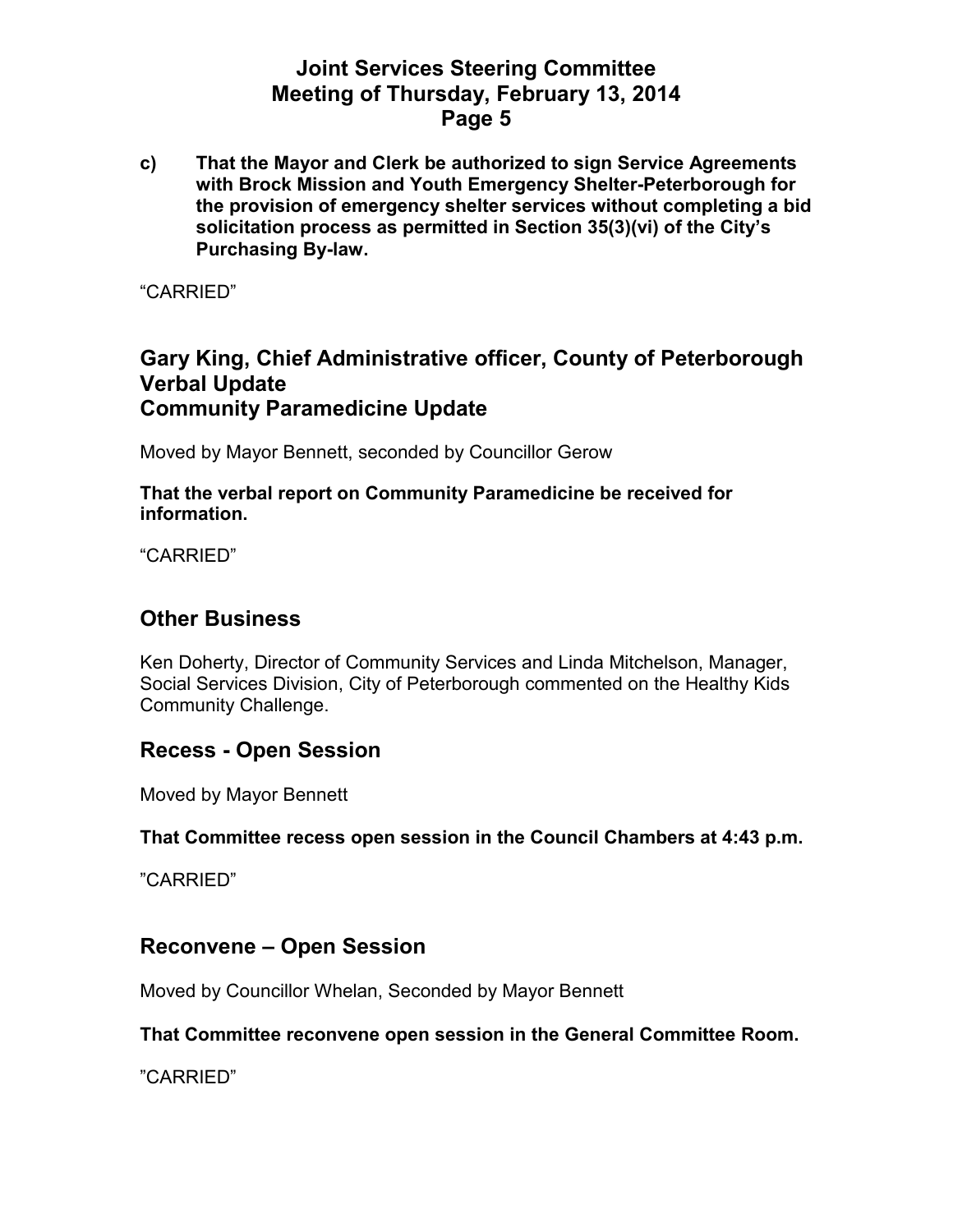**c) That the Mayor and Clerk be authorized to sign Service Agreements with Brock Mission and Youth Emergency Shelter-Peterborough for the provision of emergency shelter services without completing a bid solicitation process as permitted in Section 35(3)(vi) of the City's Purchasing By-law.** 

"CARRIED"

#### **Gary King, Chief Administrative officer, County of Peterborough Verbal Update Community Paramedicine Update**

Moved by Mayor Bennett, seconded by Councillor Gerow

**That the verbal report on Community Paramedicine be received for information.** 

"CARRIED"

#### **Other Business**

Ken Doherty, Director of Community Services and Linda Mitchelson, Manager, Social Services Division, City of Peterborough commented on the Healthy Kids Community Challenge.

## **Recess - Open Session**

Moved by Mayor Bennett

#### **That Committee recess open session in the Council Chambers at 4:43 p.m.**

"CARRIED"

#### **Reconvene – Open Session**

Moved by Councillor Whelan, Seconded by Mayor Bennett

#### **That Committee reconvene open session in the General Committee Room.**